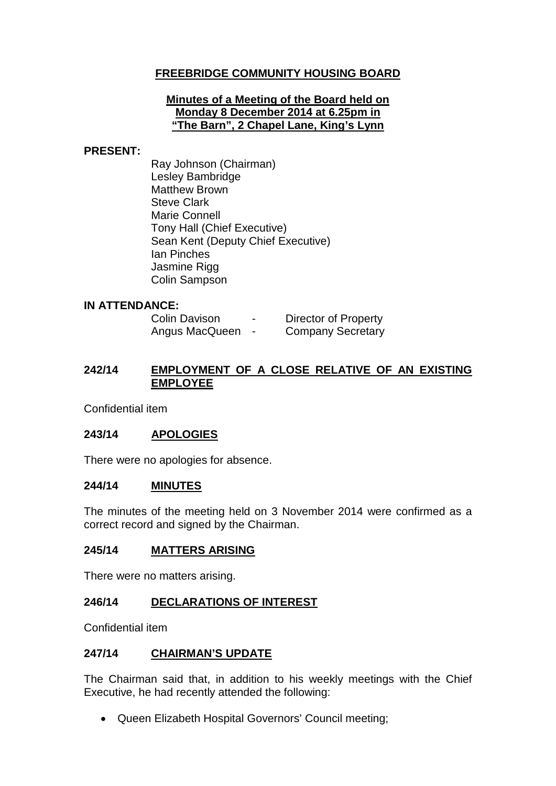# **FREEBRIDGE COMMUNITY HOUSING BOARD**

### **Minutes of a Meeting of the Board held on Monday 8 December 2014 at 6.25pm in "The Barn", 2 Chapel Lane, King's Lynn**

### **PRESENT:**

Ray Johnson (Chairman) Lesley Bambridge Matthew Brown Steve Clark Marie Connell Tony Hall (Chief Executive) Sean Kent (Deputy Chief Executive) Ian Pinches Jasmine Rigg Colin Sampson

## **IN ATTENDANCE:**

| <b>Colin Davison</b> | $\overline{\phantom{0}}$ | <b>Director of Property</b> |
|----------------------|--------------------------|-----------------------------|
| Angus MacQueen       |                          | <b>Company Secretary</b>    |

# **242/14 EMPLOYMENT OF A CLOSE RELATIVE OF AN EXISTING EMPLOYEE**

Confidential item

## **243/14 APOLOGIES**

There were no apologies for absence.

#### **244/14 MINUTES**

The minutes of the meeting held on 3 November 2014 were confirmed as a correct record and signed by the Chairman.

## **245/14 MATTERS ARISING**

There were no matters arising.

## **246/14 DECLARATIONS OF INTEREST**

Confidential item

## **247/14 CHAIRMAN'S UPDATE**

The Chairman said that, in addition to his weekly meetings with the Chief Executive, he had recently attended the following:

• Queen Elizabeth Hospital Governors' Council meeting;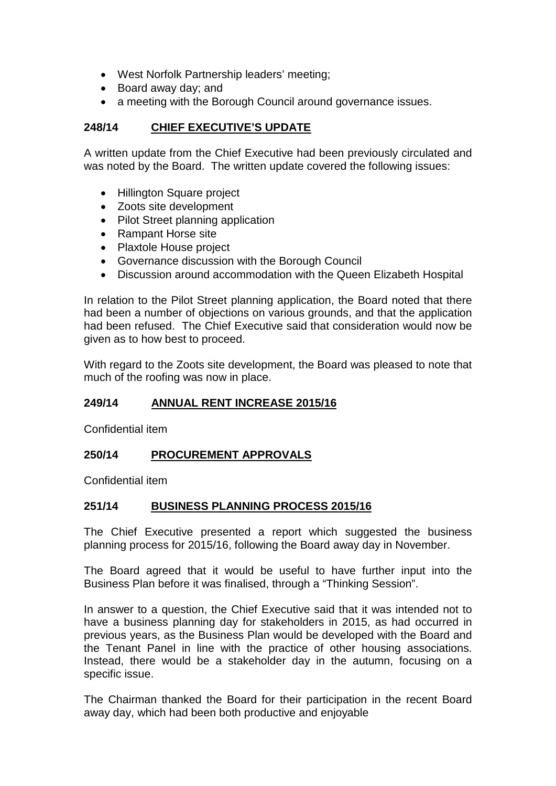- West Norfolk Partnership leaders' meeting;
- Board away day; and
- a meeting with the Borough Council around governance issues.

# **248/14 CHIEF EXECUTIVE'S UPDATE**

A written update from the Chief Executive had been previously circulated and was noted by the Board. The written update covered the following issues:

- Hillington Square project
- Zoots site development
- Pilot Street planning application
- Rampant Horse site
- Plaxtole House project
- Governance discussion with the Borough Council
- Discussion around accommodation with the Queen Elizabeth Hospital

In relation to the Pilot Street planning application, the Board noted that there had been a number of objections on various grounds, and that the application had been refused. The Chief Executive said that consideration would now be given as to how best to proceed.

With regard to the Zoots site development, the Board was pleased to note that much of the roofing was now in place.

## **249/14 ANNUAL RENT INCREASE 2015/16**

Confidential item

## **250/14 PROCUREMENT APPROVALS**

Confidential item

## **251/14 BUSINESS PLANNING PROCESS 2015/16**

The Chief Executive presented a report which suggested the business planning process for 2015/16, following the Board away day in November.

The Board agreed that it would be useful to have further input into the Business Plan before it was finalised, through a "Thinking Session".

In answer to a question, the Chief Executive said that it was intended not to have a business planning day for stakeholders in 2015, as had occurred in previous years, as the Business Plan would be developed with the Board and the Tenant Panel in line with the practice of other housing associations. Instead, there would be a stakeholder day in the autumn, focusing on a specific issue.

The Chairman thanked the Board for their participation in the recent Board away day, which had been both productive and enjoyable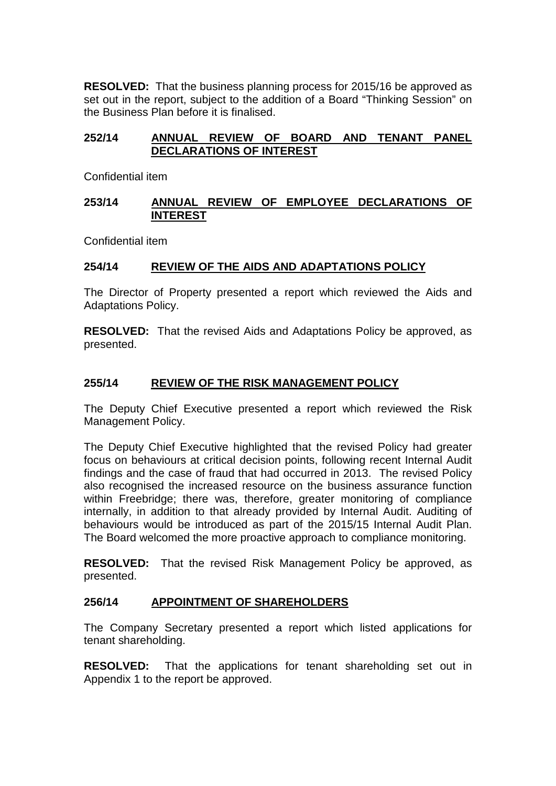**RESOLVED:** That the business planning process for 2015/16 be approved as set out in the report, subject to the addition of a Board "Thinking Session" on the Business Plan before it is finalised.

## **252/14 ANNUAL REVIEW OF BOARD AND TENANT PANEL DECLARATIONS OF INTEREST**

Confidential item

### **253/14 ANNUAL REVIEW OF EMPLOYEE DECLARATIONS OF INTEREST**

Confidential item

## **254/14 REVIEW OF THE AIDS AND ADAPTATIONS POLICY**

The Director of Property presented a report which reviewed the Aids and Adaptations Policy.

**RESOLVED:** That the revised Aids and Adaptations Policy be approved, as presented.

## **255/14 REVIEW OF THE RISK MANAGEMENT POLICY**

The Deputy Chief Executive presented a report which reviewed the Risk Management Policy.

The Deputy Chief Executive highlighted that the revised Policy had greater focus on behaviours at critical decision points, following recent Internal Audit findings and the case of fraud that had occurred in 2013. The revised Policy also recognised the increased resource on the business assurance function within Freebridge; there was, therefore, greater monitoring of compliance internally, in addition to that already provided by Internal Audit. Auditing of behaviours would be introduced as part of the 2015/15 Internal Audit Plan. The Board welcomed the more proactive approach to compliance monitoring.

**RESOLVED:** That the revised Risk Management Policy be approved, as presented.

## **256/14 APPOINTMENT OF SHAREHOLDERS**

The Company Secretary presented a report which listed applications for tenant shareholding.

**RESOLVED:** That the applications for tenant shareholding set out in Appendix 1 to the report be approved.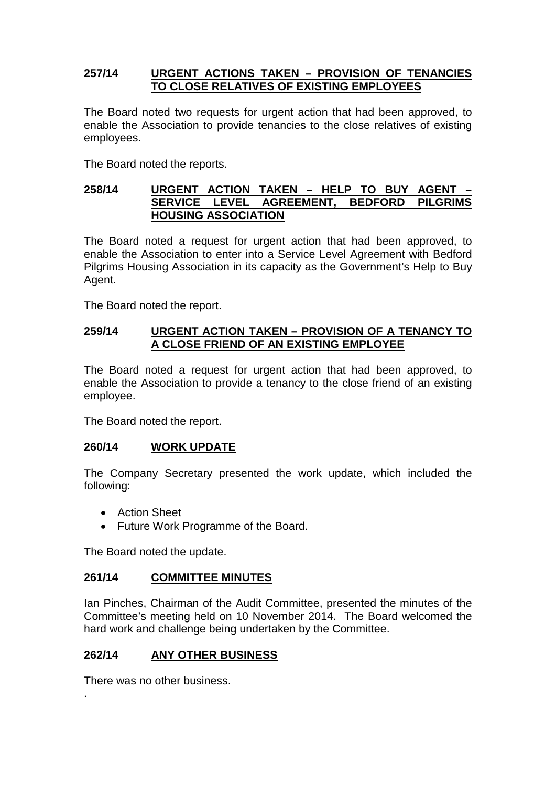## **257/14 URGENT ACTIONS TAKEN – PROVISION OF TENANCIES TO CLOSE RELATIVES OF EXISTING EMPLOYEES**

The Board noted two requests for urgent action that had been approved, to enable the Association to provide tenancies to the close relatives of existing employees.

The Board noted the reports.

### **258/14 URGENT ACTION TAKEN – HELP TO BUY AGENT – SERVICE LEVEL AGREEMENT, BEDFORD PILGRIMS HOUSING ASSOCIATION**

The Board noted a request for urgent action that had been approved, to enable the Association to enter into a Service Level Agreement with Bedford Pilgrims Housing Association in its capacity as the Government's Help to Buy Agent.

The Board noted the report.

## **259/14 URGENT ACTION TAKEN – PROVISION OF A TENANCY TO A CLOSE FRIEND OF AN EXISTING EMPLOYEE**

The Board noted a request for urgent action that had been approved, to enable the Association to provide a tenancy to the close friend of an existing employee.

The Board noted the report.

## **260/14 WORK UPDATE**

The Company Secretary presented the work update, which included the following:

- Action Sheet
- Future Work Programme of the Board.

The Board noted the update.

## **261/14 COMMITTEE MINUTES**

Ian Pinches, Chairman of the Audit Committee, presented the minutes of the Committee's meeting held on 10 November 2014. The Board welcomed the hard work and challenge being undertaken by the Committee.

## **262/14 ANY OTHER BUSINESS**

There was no other business.

.